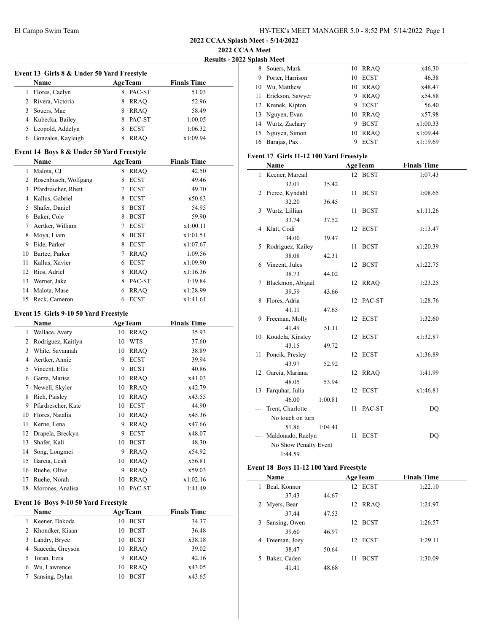**2022 CCAA Meet**

**Results - 2022 Splash Meet**

|              | Event 13 Girls 8 & Under 50 Yard Freestyle |    |                |                    |  |
|--------------|--------------------------------------------|----|----------------|--------------------|--|
|              | Name                                       |    | <b>AgeTeam</b> | <b>Finals Time</b> |  |
| 1            | Flores, Caelyn                             |    | 8 PAC-ST       | 51.03              |  |
|              | 2 Rivera, Victoria                         |    | 8 RRAQ         | 52.96              |  |
|              | 3 Souers, Mae                              |    | 8 RRAQ         | 58.49              |  |
|              | 4 Kubecka, Bailey                          |    | 8 PAC-ST       | 1:00.05            |  |
| 5            | Leopold, Addelyn                           |    | 8 ECST         | 1:06.32            |  |
|              |                                            | 8  |                |                    |  |
|              | 6 Gonzales, Kayleigh                       |    | <b>RRAQ</b>    | x1:09.94           |  |
|              | Event 14 Boys 8 & Under 50 Yard Freestyle  |    |                |                    |  |
|              | Name                                       |    | <b>AgeTeam</b> | <b>Finals Time</b> |  |
| $\mathbf{1}$ | Malota, CJ                                 | 8  | <b>RRAQ</b>    | 42.50              |  |
| 2            | Rosenbusch, Wolfgang                       |    | 8 ECST         | 49.46              |  |
| 3            | Pfardrescher, Rhett                        |    | 7 ECST         | 49.70              |  |
|              | 4 Kallus, Gabriel                          |    | 8 ECST         | x50.63             |  |
| 5            | Shafer, Daniel                             |    | 8 BCST         | 54.95              |  |
|              | 6 Baker, Cole                              |    | 8 BCST         | 59.90              |  |
| 7            | Aertker, William                           |    | 7 ECST         | x1:00.11           |  |
| 8            | Moya, Liam                                 |    | 8 BCST         | x1:01.51           |  |
| 9            | Eide, Parker                               |    | 8 ECST         | x1:07.67           |  |
| 10           | Bartee, Parker                             |    | 7 RRAQ         | 1:09.56            |  |
| 11           | Kallus, Xavier                             |    | 6 ECST         | x1:09.90           |  |
| 12           | Rios, Adriel                               |    | 8 RRAQ         | x1:16.36           |  |
| 13           | Werner, Jake                               |    | 8 PAC-ST       | 1:19.84            |  |
| 14           | Malota, Mase                               | 6  | <b>RRAQ</b>    | x1:28.99           |  |
|              |                                            |    |                |                    |  |
| 15           | Reck, Cameron                              | 6  | <b>ECST</b>    | x1:41.61           |  |
|              | Event 15 Girls 9-10 50 Yard Freestyle      |    |                |                    |  |
|              | Name                                       |    | <b>AgeTeam</b> | <b>Finals Time</b> |  |
| 1            | Wallace, Avery                             | 10 | <b>RRAQ</b>    | 35.93              |  |
| 2            | Rodriguez, Kaitlyn                         | 10 | WTS            | 37.60              |  |
| 3            | White, Savannah                            |    | 10 RRAQ        | 38.89              |  |
|              | 4 Aertker, Annie                           |    | 9 ECST         | 39.94              |  |
| 5            | Vincent, Ellie                             |    | 9 BCST         | 40.86              |  |
| 6            | Garza, Marisa                              |    | 10 RRAQ        | x41.03             |  |
| 7            | Newell, Skyler                             |    | 10 RRAQ        | x42.79             |  |
| 8            | Rich, Paisley                              |    | 10 RRAQ        | x43.55             |  |
| 9            | Pfardrescher, Kate                         | 10 | <b>ECST</b>    | 44.90              |  |
|              | 10 Flores, Natalia                         |    |                | x45.36             |  |
|              |                                            | 10 | <b>RRAQ</b>    |                    |  |
| 11           | Kerne, Lena                                | 9  | RRAQ           | x47.66             |  |
| 12           | Drapela, Breckyn                           | 9  | <b>ECST</b>    | x48.07             |  |
| 13           | Shafer, Kali                               | 10 | <b>BCST</b>    | 48.30              |  |
| 14           | Song, Longmei                              | 9  | <b>RRAQ</b>    | x54.92             |  |
| 15           | Garcia, Leah                               |    | 10 RRAQ        | x56.81             |  |
| 16           | Ruehe, Olive                               | 9  | <b>RRAO</b>    | x59.03             |  |
| 17           | Ruehe, Norah                               | 10 | <b>RRAQ</b>    | x1:02.16           |  |
| 18           | Morones, Analisa                           | 10 | PAC-ST         | 1:41.49            |  |
|              | Event 16 Boys 9-10 50 Yard Freestyle       |    |                |                    |  |
|              | Name                                       |    | <b>AgeTeam</b> | <b>Finals Time</b> |  |
| 1            | Keener, Dakoda                             | 10 | <b>BCST</b>    | 34.37              |  |
| 2            | Khondker, Kiaan                            | 10 | <b>BCST</b>    | 36.48              |  |
| 3            | Landry, Bryce                              | 10 | <b>BCST</b>    | x38.18             |  |
| 4            | Sauceda, Greyson                           |    |                |                    |  |
| 5            | Toran, Ezra                                | 9  | 10 RRAQ        | 39.02              |  |
|              |                                            |    | <b>RRAQ</b>    | 42.16              |  |
| 6            | Wu, Lawrence                               | 10 | <b>RRAQ</b>    | x43.05             |  |
| 7            | Sansing, Dylan                             | 10 | <b>BCST</b>    | x43.65             |  |

|    | эріамі імесі      |    |             |          |
|----|-------------------|----|-------------|----------|
| 8  | Souers, Mark      |    | 10 RRAO     | x46.30   |
| 9  | Porter, Harrison  | 10 | <b>ECST</b> | 46.38    |
| 10 | Wu, Matthew       |    | 10 RRAO     | x48.47   |
| 11 | Erickson, Sawyer  | 9  | <b>RRAO</b> | x54.88   |
|    | 12 Krenek, Kipton | 9  | <b>ECST</b> | 56.40    |
|    | 13 Nguyen, Evan   |    | 10 RRAO     | x57.98   |
|    | 14 Wurtz, Zachary | 9  | <b>BCST</b> | x1:00.33 |
|    | 15 Nguyen, Simon  | 10 | <b>RRAO</b> | x1:09.44 |
| 16 | Barajas, Pax      | 9  | <b>ECST</b> | x1:19.69 |
|    |                   |    |             |          |

## **Event 17 Girls 11-12 100 Yard Freestyle**

|    | Name                     |         |    | <b>AgeTeam</b> | <b>Finals Time</b> |  |
|----|--------------------------|---------|----|----------------|--------------------|--|
| 1  | Keener, Marcail          |         |    | 12 BCST        | 1:07.43            |  |
|    | 32.01                    | 35.42   |    |                |                    |  |
|    | 2 Pierce, Kyndahl        |         | 11 | <b>BCST</b>    | 1:08.65            |  |
|    | 32.20                    | 36.45   |    |                |                    |  |
| 3  | Wurtz, Lillian           |         | 11 | <b>BCST</b>    | x1:11.26           |  |
|    | 33.74                    | 37.52   |    |                |                    |  |
|    | 4 Klatt, Codi            |         |    | 12 ECST        | 1:13.47            |  |
|    | 34.00                    | 39.47   |    |                |                    |  |
| 5  | Rodriguez, Kailey        |         | 11 | <b>BCST</b>    | x1:20.39           |  |
|    | 38.08                    | 42.31   |    |                |                    |  |
|    | 6 Vincent, Jules         |         |    | 12 BCST        | x1:22.75           |  |
|    | 38.73                    | 44.02   |    |                |                    |  |
| 7  | Blackmon, Abigail        |         |    | 12 RRAQ        | 1:23.25            |  |
|    | 39.59                    | 43.66   |    |                |                    |  |
|    | 8 Flores, Adria          |         |    | 12 PAC-ST      | 1:28.76            |  |
|    | 41.11                    | 47.65   |    |                |                    |  |
|    | 9 Freeman, Molly         |         | 12 | <b>ECST</b>    | 1:32.60            |  |
|    | 41.49                    | 51.11   |    |                |                    |  |
|    | 10 Koudela, Kinsley      |         | 12 | <b>ECST</b>    | x1:32.87           |  |
|    | 43.15                    | 49.72   |    |                |                    |  |
| 11 | Poncik, Presley<br>43.97 |         |    | 12 ECST        | x1:36.89           |  |
|    |                          | 52.92   |    |                | 1:41.99            |  |
| 12 | Garcia, Mariana<br>48.05 | 53.94   | 12 | <b>RRAQ</b>    |                    |  |
| 13 | Farquhar, Julia          |         | 12 | <b>ECST</b>    | x1:46.81           |  |
|    | 46.00                    | 1:00.81 |    |                |                    |  |
|    | Trent, Charlotte         |         | 11 | PAC-ST         | DQ                 |  |
|    | No touch on turn         |         |    |                |                    |  |
|    | 51.86                    | 1:04.41 |    |                |                    |  |
|    | Maldonado, Raelyn        |         |    | 11 ECST        | DQ                 |  |
|    | No Show Penalty Event    |         |    |                |                    |  |
|    | 1:44.59                  |         |    |                |                    |  |
|    |                          |         |    |                |                    |  |

# **Event 18 Boys 11-12 100 Yard Freestyle**

| Name               |       | <b>AgeTeam</b>    | <b>Finals Time</b> |
|--------------------|-------|-------------------|--------------------|
| Beal, Konnor<br>1  |       | 12 ECST           | 1:22.10            |
| 37.43              | 44.67 |                   |                    |
| 2 Myers, Bear      |       | 12 RRAO           | 1:24.97            |
| 37.44              | 47.53 |                   |                    |
| Sansing, Owen<br>3 |       | 12 BCST           | 1:26.57            |
| 39.60              | 46.97 |                   |                    |
| 4 Freeman, Joey    |       | 12 ECST           | 1:29.11            |
| 38.47              | 50.64 |                   |                    |
| Baker, Caden<br>5. |       | <b>BCST</b><br>11 | 1:30.09            |
| 41.41              | 48.68 |                   |                    |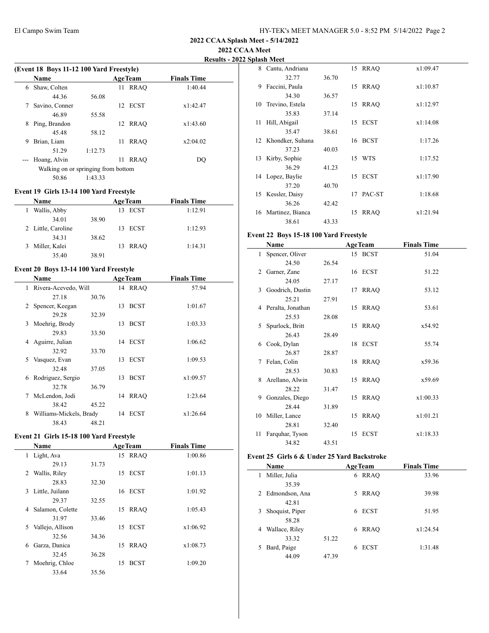## **2022 CCAA Meet**

**Results - 2022 Splash Meet**

|       | <b>Name</b>                         |         |    | <b>AgeTeam</b> | <b>Finals Time</b> |
|-------|-------------------------------------|---------|----|----------------|--------------------|
| 6     | Shaw, Colten                        |         | 11 | <b>RRAO</b>    | 1:40.44            |
|       | 44.36                               | 56.08   |    |                |                    |
| 7     | Savino, Conner                      |         |    | 12 ECST        | x1:42.47           |
|       | 46.89                               | 55.58   |    |                |                    |
| 8     | Ping, Brandon                       |         | 12 | RRAO           | x1:43.60           |
|       | 45.48                               | 58.12   |    |                |                    |
| 9     | Brian, Liam                         |         | 11 | <b>RRAO</b>    | x2:04.02           |
|       | 51.29                               | 1:12.73 |    |                |                    |
| $---$ | Hoang, Alvin                        |         | 11 | <b>RRAO</b>    | DO                 |
|       | Walking on or springing from bottom |         |    |                |                    |
|       | 50.86                               | 1:43.33 |    |                |                    |

## **Event 19 Girls 13-14 100 Yard Freestyle**

|   | <b>Name</b>        |       | <b>AgeTeam</b> | <b>Finals Time</b> |  |
|---|--------------------|-------|----------------|--------------------|--|
| 1 | Wallis, Abby       |       | 13 ECST        | 1:12.91            |  |
|   | 34.01              | 38.90 |                |                    |  |
|   | 2 Little, Caroline |       | 13 ECST        | 1:12.93            |  |
|   | 34.31              | 38.62 |                |                    |  |
|   | 3 Miller, Kalei    |       | 13 RRAO        | 1:14.31            |  |
|   | 35.40              | 38.91 |                |                    |  |

# **Event 20 Boys 13-14 100 Yard Freestyle**

|   | Name                    |       |    | <b>AgeTeam</b> | <b>Finals Time</b> |  |
|---|-------------------------|-------|----|----------------|--------------------|--|
| 1 | Rivera-Acevedo, Will    |       |    | 14 RRAO        | 57.94              |  |
|   | 27.18                   | 30.76 |    |                |                    |  |
| 2 | Spencer, Keegan         |       | 13 | <b>BCST</b>    | 1:01.67            |  |
|   | 29.28                   | 32.39 |    |                |                    |  |
| 3 | Moehrig, Brody          |       | 13 | <b>BCST</b>    | 1:03.33            |  |
|   | 29.83                   | 33.50 |    |                |                    |  |
| 4 | Aguirre, Julian         |       |    | 14 ECST        | 1:06.62            |  |
|   | 32.92                   | 33.70 |    |                |                    |  |
| 5 | Vasquez, Evan           |       | 13 | ECST           | 1:09.53            |  |
|   | 32.48                   | 37.05 |    |                |                    |  |
| 6 | Rodriguez, Sergio       |       | 13 | <b>BCST</b>    | x1:09.57           |  |
|   | 32.78                   | 36.79 |    |                |                    |  |
| 7 | McLendon, Jodi          |       | 14 | RRAO           | 1:23.64            |  |
|   | 38.42                   | 45.22 |    |                |                    |  |
| 8 | Williams-Mickels, Brady |       |    | 14 ECST        | x1:26.64           |  |
|   | 38.43                   | 48.21 |    |                |                    |  |

### **Event 21 Girls 15-18 100 Yard Freestyle**

|   | <b>Name</b>      |       |    | <b>AgeTeam</b> | <b>Finals Time</b> |  |
|---|------------------|-------|----|----------------|--------------------|--|
|   | 1 Light, Ava     |       |    | 15 RRAO        | 1:00.86            |  |
|   | 29.13            | 31.73 |    |                |                    |  |
|   | 2 Wallis, Riley  |       |    | 15 ECST        | 1:01.13            |  |
|   | 28.83            | 32.30 |    |                |                    |  |
| 3 | Little, Juilann  |       |    | 16 ECST        | 1:01.92            |  |
|   | 29.37            | 32.55 |    |                |                    |  |
| 4 | Salamon, Colette |       | 15 | RRAO           | 1:05.43            |  |
|   | 31.97            | 33.46 |    |                |                    |  |
| 5 | Vallejo, Allison |       |    | 15 ECST        | x1:06.92           |  |
|   | 32.56            | 34.36 |    |                |                    |  |
| 6 | Garza, Danica    |       | 15 | <b>RRAO</b>    | x1:08.73           |  |
|   | 32.45            | 36.28 |    |                |                    |  |
| 7 | Moehrig, Chloe   |       | 15 | <b>BCST</b>    | 1:09.20            |  |
|   | 33.64            | 35.56 |    |                |                    |  |

| 8  | Cantu, Andriana     |       |    | 15 RRAO     | x1:09.47 |
|----|---------------------|-------|----|-------------|----------|
|    | 32.77               | 36.70 |    |             |          |
| 9  | Faccini, Paula      |       | 15 | <b>RRAO</b> | x1:10.87 |
|    | 34.30               | 36.57 |    |             |          |
| 10 | Trevino, Estela     |       | 15 | <b>RRAO</b> | x1:12.97 |
|    | 35.83               | 37.14 |    |             |          |
| 11 | Hill, Abigail       |       | 15 | <b>ECST</b> | x1:14.08 |
|    | 35.47               | 38.61 |    |             |          |
|    | 12 Khondker, Suhana |       |    | 16 BCST     | 1:17.26  |
|    | 37.23               | 40.03 |    |             |          |
| 13 | Kirby, Sophie       |       | 15 | <b>WTS</b>  | 1:17.52  |
|    | 36.29               | 41.23 |    |             |          |
|    | 14 Lopez, Baylie    |       | 15 | <b>ECST</b> | x1:17.90 |
|    | 37.20               | 40.70 |    |             |          |
| 15 | Kessler, Daisy      |       | 17 | PAC-ST      | 1:18.68  |
|    | 36.26               | 42.42 |    |             |          |
|    | 16 Martinez, Bianca |       | 15 | <b>RRAO</b> | x1:21.94 |
|    | 38.61               | 43.33 |    |             |          |

## **Event 22 Boys 15-18 100 Yard Freestyle**

| Name |                     | <b>AgeTeam</b> |    |             | <b>Finals Time</b> |  |
|------|---------------------|----------------|----|-------------|--------------------|--|
| 1    | Spencer, Oliver     |                |    | 15 BCST     | 51.04              |  |
|      | 24.50               | 26.54          |    |             |                    |  |
| 2    | Garner, Zane        |                |    | 16 ECST     | 51.22              |  |
|      | 24.05               | 27.17          |    |             |                    |  |
| 3    | Goodrich, Dustin    |                | 17 | <b>RRAO</b> | 53.12              |  |
|      | 25.21               | 27.91          |    |             |                    |  |
|      | 4 Peralta, Jonathan |                |    | 15 RRAQ     | 53.61              |  |
|      | 25.53               | 28.08          |    |             |                    |  |
|      | 5 Spurlock, Britt   |                |    | 15 RRAQ     | x54.92             |  |
|      | 26.43               | 28.49          |    |             |                    |  |
| 6    | Cook, Dylan         |                |    | 18 ECST     | 55.74              |  |
|      | 26.87               | 28.87          |    |             |                    |  |
| 7    | Felan, Colin        |                |    | 18 RRAQ     | x59.36             |  |
|      | 28.53               | 30.83          |    |             |                    |  |
|      | 8 Arellano, Alwin   |                |    | 15 RRAO     | x59.69             |  |
|      | 28.22               | 31.47          |    |             |                    |  |
| 9    | Gonzales, Diego     |                |    | 15 RRAO     | x1:00.33           |  |
|      | 28.44               | 31.89          |    |             |                    |  |
|      | 10 Miller, Lance    |                | 15 | <b>RRAQ</b> | x1:01.21           |  |
|      | 28.81               | 32.40          |    |             |                    |  |
| 11   | Farquhar, Tyson     |                | 15 | <b>ECST</b> | x1:18.33           |  |
|      | 34.82               | 43.51          |    |             |                    |  |

## **Event 25 Girls 6 & Under 25 Yard Backstroke**

| Name                 |       | <b>AgeTeam</b>   | <b>Finals Time</b> |  |
|----------------------|-------|------------------|--------------------|--|
| Miller, Julia<br>1   |       | <b>RRAO</b><br>6 | 33.96              |  |
| 35.39                |       |                  |                    |  |
| 2 Edmondson, Ana     |       | <b>RRAO</b><br>5 | 39.98              |  |
| 42.81                |       |                  |                    |  |
| Shoquist, Piper<br>3 |       | <b>ECST</b><br>6 | 51.95              |  |
| 58.28                |       |                  |                    |  |
| Wallace, Riley<br>4  |       | <b>RRAO</b><br>6 | x1:24.54           |  |
| 33.32                | 51.22 |                  |                    |  |
| Bard, Paige<br>5.    |       | <b>ECST</b><br>6 | 1:31.48            |  |
| 44.09                | 47.39 |                  |                    |  |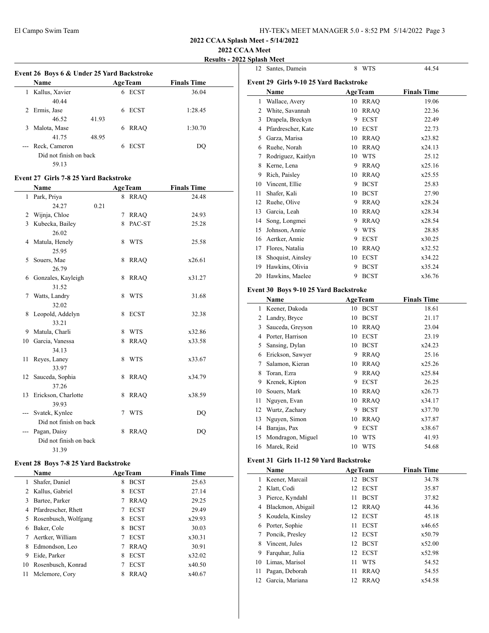**2022 CCAA Meet**

|   |                                            |       |                |                    | <b>Results - 2022 Splash Meet</b> |
|---|--------------------------------------------|-------|----------------|--------------------|-----------------------------------|
|   | Event 26 Boys 6 & Under 25 Yard Backstroke |       |                | 12 Santes, l       |                                   |
|   | <b>Name</b>                                |       | <b>AgeTeam</b> | <b>Finals Time</b> | <b>Event 29 Gir</b>               |
| 1 | Kallus, Xavier                             |       | 6 ECST         | 36.04              | Name                              |
|   | 40.44                                      |       |                |                    | <b>Wallace</b>                    |
| 2 | Ermis, Jase                                |       | 6 ECST         | 1:28.45            | 2 White, S                        |
|   | 46.52                                      | 41.93 |                |                    | Drapela.<br>3                     |
| 3 | Malota, Mase                               |       | 6 RRAO         | 1:30.70            | 4 Pfardres                        |
|   | 41.75                                      | 48.95 |                |                    | 5 Garza, N                        |
|   | Reck, Cameron                              |       | 6 ECST         | DQ                 | 6 Ruehe, 1                        |
|   | Did not finish on back                     |       |                |                    | Rodrigu                           |
|   | 59.13                                      |       |                |                    | 8 Kerne I                         |

### **Event 27 Girls 7-8 25 Yard Backstroke**

| Name                   |                                                                                                                                                                                                                                                                              |                                      | <b>Finals Time</b>                                                                                                                                                                                                          |
|------------------------|------------------------------------------------------------------------------------------------------------------------------------------------------------------------------------------------------------------------------------------------------------------------------|--------------------------------------|-----------------------------------------------------------------------------------------------------------------------------------------------------------------------------------------------------------------------------|
| 1 Park, Priya          |                                                                                                                                                                                                                                                                              |                                      | 24.48                                                                                                                                                                                                                       |
| 24.27<br>0.21          |                                                                                                                                                                                                                                                                              |                                      |                                                                                                                                                                                                                             |
| 2 Wijnja, Chloe        | 7                                                                                                                                                                                                                                                                            |                                      | 24.93                                                                                                                                                                                                                       |
| 3 Kubecka, Bailey      | 8                                                                                                                                                                                                                                                                            |                                      | 25.28                                                                                                                                                                                                                       |
| 26.02                  |                                                                                                                                                                                                                                                                              |                                      |                                                                                                                                                                                                                             |
| 4 Matula, Henely       | 8                                                                                                                                                                                                                                                                            |                                      | 25.58                                                                                                                                                                                                                       |
| 25.95                  |                                                                                                                                                                                                                                                                              |                                      |                                                                                                                                                                                                                             |
| 5 Souers, Mae          | 8                                                                                                                                                                                                                                                                            |                                      | x26.61                                                                                                                                                                                                                      |
| 26.79                  |                                                                                                                                                                                                                                                                              |                                      |                                                                                                                                                                                                                             |
|                        | 8                                                                                                                                                                                                                                                                            |                                      | x31.27                                                                                                                                                                                                                      |
|                        |                                                                                                                                                                                                                                                                              |                                      |                                                                                                                                                                                                                             |
| 7                      |                                                                                                                                                                                                                                                                              |                                      | 31.68                                                                                                                                                                                                                       |
|                        |                                                                                                                                                                                                                                                                              |                                      |                                                                                                                                                                                                                             |
|                        |                                                                                                                                                                                                                                                                              |                                      | 32.38                                                                                                                                                                                                                       |
|                        |                                                                                                                                                                                                                                                                              |                                      |                                                                                                                                                                                                                             |
|                        |                                                                                                                                                                                                                                                                              |                                      | x32.86                                                                                                                                                                                                                      |
|                        |                                                                                                                                                                                                                                                                              |                                      | x33.58                                                                                                                                                                                                                      |
|                        |                                                                                                                                                                                                                                                                              |                                      | x33.67                                                                                                                                                                                                                      |
|                        |                                                                                                                                                                                                                                                                              |                                      |                                                                                                                                                                                                                             |
|                        |                                                                                                                                                                                                                                                                              |                                      | x34.79                                                                                                                                                                                                                      |
|                        |                                                                                                                                                                                                                                                                              |                                      |                                                                                                                                                                                                                             |
|                        |                                                                                                                                                                                                                                                                              |                                      | x38.59                                                                                                                                                                                                                      |
|                        |                                                                                                                                                                                                                                                                              |                                      |                                                                                                                                                                                                                             |
|                        |                                                                                                                                                                                                                                                                              |                                      | DQ                                                                                                                                                                                                                          |
| Did not finish on back |                                                                                                                                                                                                                                                                              |                                      |                                                                                                                                                                                                                             |
|                        |                                                                                                                                                                                                                                                                              |                                      | DO                                                                                                                                                                                                                          |
| Did not finish on back |                                                                                                                                                                                                                                                                              |                                      |                                                                                                                                                                                                                             |
| 31.39                  |                                                                                                                                                                                                                                                                              |                                      |                                                                                                                                                                                                                             |
|                        | 6 Gonzales, Kayleigh<br>31.52<br>Watts, Landry<br>32.02<br>8 Leopold, Addelyn<br>33.21<br>9 Matula, Charli<br>10 Garcia, Vanessa<br>34.13<br>Reyes, Laney<br>33.97<br>Sauceda, Sophia<br>12<br>37.26<br>Erickson, Charlotte<br>13<br>39.93<br>Svatek, Kynlee<br>Pagan, Daisy | 8<br>8<br>8<br>8<br>8<br>8<br>8<br>8 | <b>AgeTeam</b><br>8 RRAO<br><b>RRAO</b><br>PAC-ST<br><b>WTS</b><br><b>RRAQ</b><br><b>RRAQ</b><br><b>WTS</b><br><b>ECST</b><br><b>WTS</b><br><b>RRAO</b><br><b>WTS</b><br><b>RRAO</b><br><b>RRAQ</b><br>7 WTS<br><b>RRAO</b> |

# **Event 28 Boys 7-8 25 Yard Backstroke**

|    | <b>Name</b>            | <b>AgeTeam</b>   | <b>Finals Time</b> |
|----|------------------------|------------------|--------------------|
| 1  | Shafer, Daniel         | <b>BCST</b><br>8 | 25.63              |
|    | 2 Kallus, Gabriel      | <b>ECST</b><br>8 | 27.14              |
| 3  | Bartee, Parker         | <b>RRAO</b>      | 29.25              |
| 4  | Pfardrescher, Rhett    | <b>ECST</b>      | 29.49              |
|    | 5 Rosenbusch, Wolfgang | <b>ECST</b><br>8 | x29.93             |
| 6  | Baker, Cole            | <b>BCST</b><br>8 | 30.03              |
| 7  | Aertker, William       | <b>ECST</b>      | x30.31             |
| 8  | Edmondson, Leo         | <b>RRAO</b>      | 30.91              |
| 9  | Eide, Parker           | <b>ECST</b><br>8 | x32.02             |
| 10 | Rosenbusch, Konrad     | <b>ECST</b><br>7 | x40.50             |
| 11 | Mclemore, Cory         | <b>RRAO</b><br>8 | x40.67             |

| 12 | Santes, Damein                                | 8  | WTS               | 44.54              |
|----|-----------------------------------------------|----|-------------------|--------------------|
|    | <b>Event 29 Girls 9-10 25 Yard Backstroke</b> |    |                   |                    |
|    | Name                                          |    | AgeTeam           | <b>Finals Time</b> |
| 1  | Wallace, Avery                                |    | 10 RRAQ           | 19.06              |
|    | 2 White, Savannah                             | 10 | <b>RRAQ</b>       | 22.36              |
|    | 3 Drapela, Breckyn                            | 9  | <b>ECST</b>       | 22.49              |
|    | 4 Pfardrescher, Kate                          |    | 10 ECST           | 22.73              |
| 5  | Garza, Marisa                                 |    | 10 RRAQ           | x23.82             |
|    |                                               |    |                   | x24.13             |
|    | 6 Ruehe, Norah                                |    | 10 RRAQ<br>10 WTS | 25.12              |
| 7  | Rodriguez, Kaitlyn<br>Kerne, Lena             |    |                   |                    |
| 8  |                                               |    | 9 RRAQ            | x25.16             |
| 9  | Rich, Paisley                                 |    | 10 RRAO           | x25.55             |
|    | 10 Vincent, Ellie                             | 9  | <b>BCST</b>       | 25.83              |
| 11 | Shafer, Kali                                  | 10 | <b>BCST</b>       | 27.90              |
| 12 | Ruehe, Olive                                  |    | 9 RRAQ            | x28.24             |
|    | 13 Garcia, Leah                               |    | 10 RRAQ           | x28.34             |
|    | 14 Song, Longmei                              |    | 9 RRAQ            | x28.54             |
| 15 | Johnson, Annie                                |    | 9 WTS             | 28.85              |
|    | 16 Aertker, Annie                             | 9  | <b>ECST</b>       | x30.25             |
|    | 17 Flores, Natalia                            |    | 10 RRAQ           | x32.52             |
| 18 | Shoquist, Ainsley                             | 10 | <b>ECST</b>       | x34.22             |
|    | 19 Hawkins, Olivia                            | 9  | <b>BCST</b>       | x35.24             |
| 20 | Hawkins, Maelee                               | 9  | <b>BCST</b>       | x36.76             |
|    | Event 30 Boys 9-10 25 Yard Backstroke         |    |                   |                    |
|    | Name                                          |    | <b>AgeTeam</b>    | <b>Finals Time</b> |
| 1  | Keener, Dakoda                                | 10 | <b>BCST</b>       | 18.61              |
|    | 2 Landry, Bryce                               | 10 | <b>BCST</b>       | 21.17              |
|    | 3 Sauceda, Greyson                            |    | 10 RRAQ           | 23.04              |
|    | 4 Porter, Harrison                            |    | 10 ECST           | 23.19              |
|    | 5 Sansing, Dylan                              |    | 10 BCST           | x24.23             |
|    |                                               |    |                   | 25.16              |
| 7  | 6 Erickson, Sawyer<br>Salamon, Kieran         |    | 9 RRAQ            |                    |
|    |                                               |    | 10 RRAQ           | x25.26             |
| 8  | Toran, Ezra                                   | 9  | <b>RRAQ</b>       | x25.84             |
| 9  | Krenek, Kipton                                | 9  | <b>ECST</b>       | 26.25              |
| 10 | Souers, Mark                                  |    | 10 RRAQ           | x26.73             |
| 11 | Nguyen, Evan                                  |    | 10 RRAQ           | x34.17             |
| 12 | Wurtz, Zachary                                | 9  | <b>BCST</b>       | x37.70             |
| 13 | Nguyen, Simon                                 | 10 | <b>RRAO</b>       | x37.87             |
| 14 | Barajas, Pax                                  | 9  | <b>ECST</b>       | x38.67             |
| 15 | Mondragon, Miguel                             | 10 | <b>WTS</b>        | 41.93              |
| 16 | Marek, Reid                                   | 10 | <b>WTS</b>        | 54.68              |
|    | Event 31 Girls 11-12 50 Yard Backstroke       |    |                   |                    |
|    | Name                                          |    | <b>AgeTeam</b>    | <b>Finals Time</b> |
| 1  | Keener, Marcail                               | 12 | <b>BCST</b>       | 34.78              |
| 2  | Klatt, Codi                                   | 12 | ECST              | 35.87              |
| 3  | Pierce, Kyndahl                               | 11 | <b>BCST</b>       | 37.82              |
| 4  | Blackmon, Abigail                             | 12 | <b>RRAQ</b>       | 44.36              |
| 5  | Koudela, Kinsley                              | 12 | <b>ECST</b>       | 45.18              |
| 6  | Porter, Sophie                                | 11 | <b>ECST</b>       | x46.65             |
| 7  | Poncik, Presley                               | 12 | <b>ECST</b>       | x50.79             |
| 8  | Vincent, Jules                                | 12 | <b>BCST</b>       | x52.00             |
| 9  | Farquhar, Julia                               | 12 | <b>ECST</b>       | x52.98             |
| 10 | Limas, Marisol                                | 11 | <b>WTS</b>        | 54.52              |
| 11 | Pagan, Deborah                                | 11 | <b>RRAQ</b>       | 54.55              |
| 12 | Garcia, Mariana                               | 12 | <b>RRAQ</b>       | x54.58             |
|    |                                               |    |                   |                    |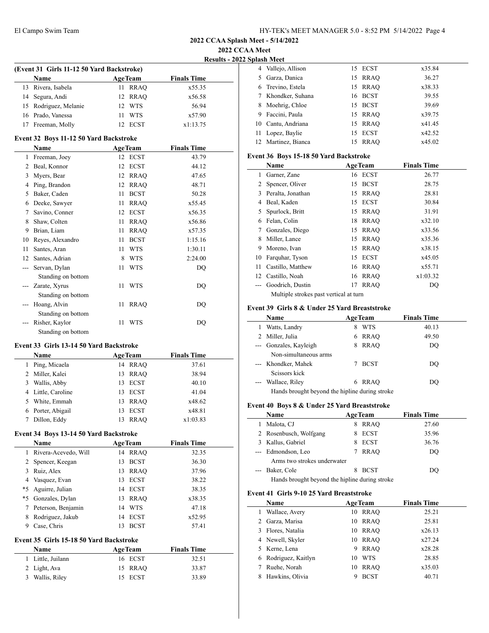|  | 2022 CCAA Splash Meet - 5/14/2022 |  |
|--|-----------------------------------|--|
|--|-----------------------------------|--|

**2022 CCAA Meet**

**Results - 2022 Splash Meet**

|               |                                           |    |                | <b>Kesuits - 202</b> |  |
|---------------|-------------------------------------------|----|----------------|----------------------|--|
|               | (Event 31 Girls 11-12 50 Yard Backstroke) |    |                |                      |  |
|               | Name                                      |    | <b>AgeTeam</b> | <b>Finals Time</b>   |  |
| 13            | Rivera, Isabela                           | 11 | <b>RRAQ</b>    | x55.35               |  |
|               | 14 Segura, Andi                           | 12 | RRAQ           | x56.58               |  |
|               | 15 Rodriguez, Melanie                     | 12 | <b>WTS</b>     | 56.94                |  |
|               | 16 Prado, Vanessa                         | 11 | <b>WTS</b>     | x57.90               |  |
|               | 17 Freeman, Molly                         |    | 12 ECST        | x1:13.75             |  |
|               | Event 32 Boys 11-12 50 Yard Backstroke    |    |                |                      |  |
|               | Name                                      |    | <b>AgeTeam</b> | <b>Finals Time</b>   |  |
|               | 1 Freeman, Joey                           |    | 12 ECST        | 43.79                |  |
|               | 2 Beal, Konnor                            | 12 | <b>ECST</b>    | 44.12                |  |
|               | 3 Myers, Bear                             |    | 12 RRAQ        | 47.65                |  |
|               | 4 Ping, Brandon                           | 12 | <b>RRAQ</b>    | 48.71                |  |
|               | 5 Baker, Caden                            | 11 | <b>BCST</b>    | 50.28                |  |
|               | 6 Deeke, Sawyer                           | 11 | <b>RRAQ</b>    | x55.45               |  |
|               | 7 Savino, Conner                          | 12 | <b>ECST</b>    | x56.35               |  |
|               | 8 Shaw, Colten                            | 11 | RRAQ           | x56.86               |  |
|               | 9 Brian, Liam                             | 11 | <b>RRAO</b>    | x57.35               |  |
|               | 10 Reyes, Alexandro                       | 11 | <b>BCST</b>    | 1:15.16              |  |
|               | 11 Santes, Aran                           | 11 | <b>WTS</b>     | 1:30.11              |  |
|               | 12 Santes, Adrian                         | 8  | WTS            | 2:24.00              |  |
|               | --- Servan, Dylan                         | 11 | <b>WTS</b>     | DQ                   |  |
|               |                                           |    |                |                      |  |
|               | Standing on bottom<br>Zarate, Xyrus       | 11 | WTS            | DQ                   |  |
|               |                                           |    |                |                      |  |
|               | Standing on bottom<br>Hoang, Alvin        |    |                |                      |  |
|               |                                           | 11 | <b>RRAQ</b>    | DQ                   |  |
|               | Standing on bottom                        | 11 |                |                      |  |
| $\frac{1}{2}$ | Risher, Kaylor                            |    | WTS            | DQ                   |  |
|               | Standing on bottom                        |    |                |                      |  |
|               | Event 33 Girls 13-14 50 Yard Backstroke   |    |                |                      |  |
|               | Name                                      |    | <b>AgeTeam</b> | <b>Finals Time</b>   |  |
|               | 1 Ping, Micaela                           |    | 14 RRAQ        | 37.61                |  |
|               | 2 Miller, Kalei                           | 13 | RRAQ           | 38.94                |  |
|               | 3 Wallis, Abby                            | 13 | <b>ECST</b>    | 40.10                |  |
|               | 4 Little, Caroline                        | 13 | <b>ECST</b>    | 41.04                |  |
| 5             | White, Emmah                              | 13 | <b>RRAO</b>    | x48.62               |  |
|               | 6 Porter, Abigail                         | 13 | <b>ECST</b>    | x48.81               |  |
|               | Dillon, Eddy                              |    | 13 RRAQ        | x1:03.83             |  |
|               |                                           |    |                |                      |  |
|               | Event 34 Boys 13-14 50 Yard Backstroke    |    |                |                      |  |
|               | Name                                      |    | <b>AgeTeam</b> | <b>Finals Time</b>   |  |
| 1             | Rivera-Acevedo, Will                      |    | 14 RRAQ        | 32.35                |  |
|               | 2 Spencer, Keegan                         | 13 | <b>BCST</b>    | 36.30                |  |
|               | 3 Ruiz, Alex                              | 13 | <b>RRAQ</b>    | 37.96                |  |
|               | 4 Vasquez, Evan                           | 13 | <b>ECST</b>    | 38.22                |  |
|               | *5 Aguirre, Julian                        | 14 | ECST           | 38.35                |  |
|               | *5 Gonzales, Dylan                        | 13 | RRAQ           | x38.35               |  |
|               | 7 Peterson, Benjamin                      | 14 | <b>WTS</b>     | 47.18                |  |
|               | 8 Rodriguez, Jakub                        | 14 | <b>ECST</b>    | x52.95               |  |
| 9             | Case, Chris                               | 13 | <b>BCST</b>    | 57.41                |  |
|               | Event 35 Girls 15-18 50 Yard Backstroke   |    |                |                      |  |
|               | Name                                      |    | AgeTeam        | <b>Finals Time</b>   |  |
| 1             | Little, Juilann                           |    | 16 ECST        | 32.51                |  |
|               | 2 Light, Ava                              |    | 15 RRAQ        | 33.87                |  |
|               |                                           |    |                |                      |  |

Wallis, Riley 15 ECST 33.89

|    | лизи мест           |         |        |
|----|---------------------|---------|--------|
|    | 4 Vallejo, Allison  | 15 ECST | x35.84 |
| 5. | Garza, Danica       | 15 RRAO | 36.27  |
|    | 6 Trevino, Estela   | 15 RRAO | x38.33 |
|    | 7 Khondker, Suhana  | 16 BCST | 39.55  |
| 8  | Moehrig, Chloe      | 15 BCST | 39.69  |
| 9  | Faccini, Paula      | 15 RRAO | x39.75 |
| 10 | Cantu, Andriana     | 15 RRAO | x41.45 |
|    | Lopez, Baylie       | 15 ECST | x42.52 |
|    | 12 Martinez, Bianca | 15 RRAO | x45.02 |
|    |                     |         |        |

### **Event 36 Boys 15-18 50 Yard Backstroke**

|     | Name                                                                                                                                                                                                                                                                                             |    | <b>AgeTeam</b> | <b>Finals Time</b> |  |
|-----|--------------------------------------------------------------------------------------------------------------------------------------------------------------------------------------------------------------------------------------------------------------------------------------------------|----|----------------|--------------------|--|
| 1   | Garner, Zane                                                                                                                                                                                                                                                                                     |    | 16 ECST        | 26.77              |  |
| 2   | Spencer, Oliver                                                                                                                                                                                                                                                                                  | 15 | <b>BCST</b>    | 28.75              |  |
| 3   | Peralta, Jonathan                                                                                                                                                                                                                                                                                | 15 | <b>RRAO</b>    | 28.81              |  |
| 4   | Beal, Kaden                                                                                                                                                                                                                                                                                      |    | 15 ECST        | 30.84              |  |
| 5   | Spurlock, Britt                                                                                                                                                                                                                                                                                  |    | 15 RRAO        | 31.91              |  |
| 6   | Felan, Colin                                                                                                                                                                                                                                                                                     |    | 18 RRAO        | x32.10             |  |
| 7   | Gonzales, Diego                                                                                                                                                                                                                                                                                  |    | 15 RRAO        | x33.56             |  |
| 8   | Miller, Lance                                                                                                                                                                                                                                                                                    | 15 | RRAO           | x35.36             |  |
| 9   | Moreno, Ivan                                                                                                                                                                                                                                                                                     |    | 15 RRAO        | x38.15             |  |
| 10  | Farquhar, Tyson                                                                                                                                                                                                                                                                                  | 15 | <b>ECST</b>    | x45.05             |  |
| 11. | Castillo, Matthew                                                                                                                                                                                                                                                                                |    | 16 RRAO        | x55.71             |  |
|     | 12 Castillo, Noah                                                                                                                                                                                                                                                                                |    | 16 RRAO        | x1:03.32           |  |
|     | Goodrich, Dustin                                                                                                                                                                                                                                                                                 | 17 | <b>RRAO</b>    | DO                 |  |
|     | $\mathbf{v}$ and $\mathbf{v}$ and $\mathbf{v}$ and $\mathbf{v}$ and $\mathbf{v}$ and $\mathbf{v}$ and $\mathbf{v}$ and $\mathbf{v}$ and $\mathbf{v}$ and $\mathbf{v}$ and $\mathbf{v}$ and $\mathbf{v}$ and $\mathbf{v}$ and $\mathbf{v}$ and $\mathbf{v}$ and $\mathbf{v}$ and $\mathbf{v}$ and |    |                |                    |  |

Multiple strokes past vertical at turn

## **Event 39 Girls 8 & Under 25 Yard Breaststroke**

|                     | <b>Name</b>                                    | <b>AgeTeam</b> |             | <b>Finals Time</b> |  |
|---------------------|------------------------------------------------|----------------|-------------|--------------------|--|
|                     | Watts, Landry                                  | 8              | <b>WTS</b>  | 40.13              |  |
|                     | 2 Miller, Julia                                | 6              | <b>RRAO</b> | 49.50              |  |
|                     | --- Gonzales, Kayleigh                         | 8              | <b>RRAO</b> | DO                 |  |
|                     | Non-simultaneous arms                          |                |             |                    |  |
|                     | --- Khondker, Mahek                            |                | <b>BCST</b> | DO                 |  |
|                     | Scissors kick                                  |                |             |                    |  |
| $\qquad \qquad - -$ | Wallace, Riley                                 | 6              | RRAO        | DO                 |  |
|                     | Hands brought beyond the hipline during stroke |                |             |                    |  |

## **Event 40 Boys 8 & Under 25 Yard Breaststroke**

|                                                                                                                                                                                                                                                                                                                                                                                              | Name                                           |   | <b>AgeTeam</b> | <b>Finals Time</b> |
|----------------------------------------------------------------------------------------------------------------------------------------------------------------------------------------------------------------------------------------------------------------------------------------------------------------------------------------------------------------------------------------------|------------------------------------------------|---|----------------|--------------------|
|                                                                                                                                                                                                                                                                                                                                                                                              | Malota, CJ                                     | 8 | RRAO           | 27.60              |
|                                                                                                                                                                                                                                                                                                                                                                                              | 2 Rosenbusch, Wolfgang                         |   | <b>ECST</b>    | 35.96              |
|                                                                                                                                                                                                                                                                                                                                                                                              | 3 Kallus, Gabriel                              |   | <b>ECST</b>    | 36.76              |
|                                                                                                                                                                                                                                                                                                                                                                                              | --- Edmondson, Leo                             | 7 | RRAO           | DO                 |
|                                                                                                                                                                                                                                                                                                                                                                                              | Arms two strokes underwater                    |   |                |                    |
| $\frac{1}{2} \frac{1}{2} \frac{1}{2} \frac{1}{2} \frac{1}{2} \frac{1}{2} \frac{1}{2} \frac{1}{2} \frac{1}{2} \frac{1}{2} \frac{1}{2} \frac{1}{2} \frac{1}{2} \frac{1}{2} \frac{1}{2} \frac{1}{2} \frac{1}{2} \frac{1}{2} \frac{1}{2} \frac{1}{2} \frac{1}{2} \frac{1}{2} \frac{1}{2} \frac{1}{2} \frac{1}{2} \frac{1}{2} \frac{1}{2} \frac{1}{2} \frac{1}{2} \frac{1}{2} \frac{1}{2} \frac{$ | Baker, Cole                                    |   | <b>BCST</b>    | DO                 |
|                                                                                                                                                                                                                                                                                                                                                                                              | Hands brought beyond the hipline during stroke |   |                |                    |

#### **Event 41 Girls 9-10 25 Yard Breaststroke**

|   | Name                 |    | <b>AgeTeam</b> | <b>Finals Time</b> |  |
|---|----------------------|----|----------------|--------------------|--|
|   | Wallace, Avery       | 10 | RRAO           | 25.21              |  |
| 2 | Garza, Marisa        | 10 | RRAO           | 25.81              |  |
| 3 | Flores, Natalia      | 10 | RRAO           | x26.13             |  |
|   | 4 Newell, Skyler     | 10 | RRAO           | x27.24             |  |
|   | 5 Kerne, Lena        | 9  | <b>RRAO</b>    | x28.28             |  |
|   | 6 Rodriguez, Kaitlyn | 10 | <b>WTS</b>     | 28.85              |  |
|   | Ruehe, Norah         | 10 | RRAO           | x35.03             |  |
| 8 | Hawkins, Olivia      |    | <b>BCST</b>    | 40.71              |  |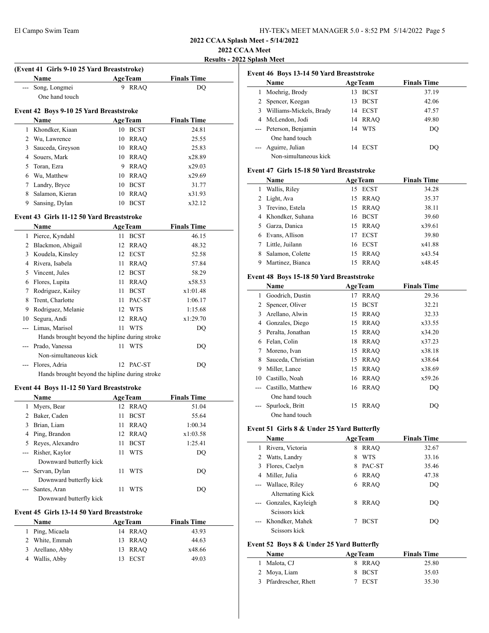**2022 CCAA Meet**

**Results - 2022 Splash Meet**

|                | (Event 41 Girls 9-10 25 Yard Breaststroke)     |    |                |                    |  |
|----------------|------------------------------------------------|----|----------------|--------------------|--|
|                | Name                                           |    | <b>AgeTeam</b> | <b>Finals Time</b> |  |
| $\overline{a}$ | Song, Longmei                                  | 9  | <b>RRAQ</b>    | DQ                 |  |
|                | One hand touch                                 |    |                |                    |  |
|                | Event 42 Boys 9-10 25 Yard Breaststroke        |    |                |                    |  |
|                | Name                                           |    | <b>AgeTeam</b> | <b>Finals Time</b> |  |
| 1              | Khondker, Kiaan                                |    | 10 BCST        | 24.81              |  |
| 2              | Wu, Lawrence                                   | 10 | <b>RRAO</b>    | 25.55              |  |
| 3              | Sauceda, Greyson                               | 10 | <b>RRAQ</b>    | 25.83              |  |
| 4              | Souers, Mark                                   | 10 | RRAQ           | x28.89             |  |
| 5              | Toran, Ezra                                    |    | 9 RRAQ         | x29.03             |  |
| 6              | Wu, Matthew                                    |    | 10 RRAQ        | x29.69             |  |
| 7              | Landry, Bryce                                  |    | 10 BCST        | 31.77              |  |
| 8              | Salamon, Kieran                                | 10 | RRAQ           | x31.93             |  |
| 9              | Sansing, Dylan                                 | 10 | <b>BCST</b>    | x32.12             |  |
|                | Event 43 Girls 11-12 50 Yard Breaststroke      |    |                |                    |  |
|                | Name                                           |    | <b>AgeTeam</b> | <b>Finals Time</b> |  |
| 1              | Pierce, Kyndahl                                | 11 | <b>BCST</b>    | 46.15              |  |
| 2              | Blackmon, Abigail                              | 12 | <b>RRAQ</b>    | 48.32              |  |
| 3              | Koudela, Kinsley                               | 12 | <b>ECST</b>    | 52.58              |  |
| $\overline{4}$ | Rivera, Isabela                                | 11 | <b>RRAQ</b>    | 57.84              |  |
| 5              | Vincent, Jules                                 | 12 | <b>BCST</b>    | 58.29              |  |
| 6              | Flores, Lupita                                 | 11 | <b>RRAO</b>    | x58.53             |  |
| 7              | Rodriguez, Kailey                              | 11 | <b>BCST</b>    | x1:01.48           |  |
| 8              | Trent, Charlotte                               | 11 | PAC-ST         | 1:06.17            |  |
| 9              | Rodriguez, Melanie                             | 12 | <b>WTS</b>     | 1:15.68            |  |
| 10             | Segura, Andi                                   | 12 | <b>RRAO</b>    | x1:29.70           |  |
| ---            | Limas, Marisol                                 | 11 | <b>WTS</b>     | DQ                 |  |
|                | Hands brought beyond the hipline during stroke |    |                |                    |  |
| ---            | Prado, Vanessa                                 | 11 | <b>WTS</b>     | DQ                 |  |
|                | Non-simultaneous kick                          |    |                |                    |  |
|                | Flores, Adria                                  |    | 12 PAC-ST      | DQ                 |  |
|                | Hands brought beyond the hipline during stroke |    |                |                    |  |
|                | Event 44 Boys 11-12 50 Yard Breaststroke       |    |                |                    |  |
|                | Name                                           |    | <b>AgeTeam</b> | <b>Finals Time</b> |  |
| 1              | Myers, Bear                                    | 12 | <b>RRAQ</b>    | 51.04              |  |
| 2              | Baker, Caden                                   | 11 | <b>BCST</b>    | 55.64              |  |
| 3              | Brian, Liam                                    | 11 | <b>RRAQ</b>    | 1:00.34            |  |
| $\overline{4}$ | Ping, Brandon                                  | 12 | <b>RRAQ</b>    | x1:03.58           |  |
| 5              | Reyes, Alexandro                               | 11 | <b>BCST</b>    | 1:25.41            |  |
| ---            | Risher, Kaylor                                 | 11 | <b>WTS</b>     | DO                 |  |
|                | Downward butterfly kick                        |    |                |                    |  |
| ---            | Servan, Dylan                                  | 11 | <b>WTS</b>     | DO                 |  |

--- Santes, Aran 11 WTS DQ

**Name Age Team Finals Time**  Ping, Micaela 14 RRAQ 43.93 White, Emmah 13 RRAQ 44.63 Arellano, Abby 13 RRAQ x48.66 Wallis, Abby 13 ECST 49.03

Downward butterfly kick

Downward butterfly kick

**Event 45 Girls 13-14 50 Yard Breaststroke**

|       | Event 46 Boys 13-14 50 Yard Breaststroke   |   |                |                    |  |
|-------|--------------------------------------------|---|----------------|--------------------|--|
|       | Name                                       |   | <b>AgeTeam</b> | <b>Finals Time</b> |  |
|       | 1 Moehrig, Brody                           |   | 13 BCST        | 37.19              |  |
|       | 2 Spencer, Keegan                          |   | 13 BCST        | 42.06              |  |
|       | 3 Williams-Mickels, Brady                  |   | 14 ECST        | 47.57              |  |
|       | 4 McLendon, Jodi                           |   | 14 RRAQ        | 49.80              |  |
|       | --- Peterson, Benjamin                     |   | 14 WTS         | $\rm DQ$           |  |
|       | One hand touch                             |   |                |                    |  |
|       | Aguirre, Julian                            |   | 14 ECST        | DQ                 |  |
|       | Non-simultaneous kick                      |   |                |                    |  |
|       | Event 47 Girls 15-18 50 Yard Breaststroke  |   |                |                    |  |
|       | Name                                       |   | <b>AgeTeam</b> | <b>Finals Time</b> |  |
| 1     | Wallis, Riley                              |   | 15 ECST        | 34.28              |  |
|       | 2 Light, Ava                               |   | 15 RRAQ        | 35.37              |  |
|       | 3 Trevino, Estela                          |   | 15 RRAQ        | 38.11              |  |
|       | 4 Khondker, Suhana                         |   | 16 BCST        | 39.60              |  |
|       | 5 Garza, Danica                            |   | 15 RRAQ        | x39.61             |  |
|       | 6 Evans, Allison                           |   | 17 ECST        | 39.80              |  |
|       | 7 Little, Juilann                          |   | 16 ECST        | x41.88             |  |
|       | 8 Salamon, Colette                         |   | 15 RRAQ        | x43.54             |  |
|       | 9 Martinez, Bianca                         |   | 15 RRAQ        | x48.45             |  |
|       |                                            |   |                |                    |  |
|       | Event 48 Boys 15-18 50 Yard Breaststroke   |   |                |                    |  |
|       | Name                                       |   | <b>AgeTeam</b> | <b>Finals Time</b> |  |
|       | 1 Goodrich, Dustin                         |   | 17 RRAQ        | 29.36              |  |
|       | 2 Spencer, Oliver                          |   | 15 BCST        | 32.21              |  |
|       | 3 Arellano, Alwin                          |   | 15 RRAQ        | 32.33              |  |
|       | 4 Gonzales, Diego                          |   | 15 RRAQ        | x33.55             |  |
|       | 5 Peralta, Jonathan                        |   | 15 RRAQ        | x34.20             |  |
|       | 6 Felan, Colin                             |   | 18 RRAQ        | x37.23             |  |
|       | 7 Moreno, Ivan                             |   | 15 RRAQ        | x38.18             |  |
|       | 8 Sauceda, Christian                       |   | 15 RRAQ        | x38.64             |  |
|       | 9 Miller, Lance                            |   | 15 RRAQ        | x38.69             |  |
|       | 10 Castillo, Noah                          |   | 16 RRAQ        | x59.26             |  |
|       | --- Castillo, Matthew                      |   | 16 RRAQ        | DQ                 |  |
|       | One hand touch                             |   |                |                    |  |
|       | Spurlock, Britt                            |   | 15 RRAQ        | DQ                 |  |
|       | One hand touch                             |   |                |                    |  |
|       | Event 51 Girls 8 & Under 25 Yard Butterfly |   |                |                    |  |
|       | Name                                       |   | <b>AgeTeam</b> | <b>Finals Time</b> |  |
| 1     | Rivera, Victoria                           |   | 8 RRAQ         | 32.67              |  |
|       | 2 Watts, Landry                            | 8 | <b>WTS</b>     | 33.16              |  |
|       | 3 Flores, Caelyn                           |   | 8 PAC-ST       | 35.46              |  |
|       | 4 Miller, Julia                            |   | 6 RRAQ         | 47.38              |  |
| ---   | Wallace, Riley                             |   | 6 RRAQ         | DQ                 |  |
|       | Alternating Kick                           |   |                |                    |  |
|       | Gonzales, Kayleigh                         | 8 | <b>RRAQ</b>    | DQ                 |  |
|       | Scissors kick                              |   |                |                    |  |
| $---$ | Khondker, Mahek                            | 7 | <b>BCST</b>    | DQ                 |  |
|       | Scissors kick                              |   |                |                    |  |
|       |                                            |   |                |                    |  |
|       | Event 52 Boys 8 & Under 25 Yard Butterfly  |   |                |                    |  |
|       | Name                                       |   | <b>AgeTeam</b> | <b>Finals Time</b> |  |
| 1     | Malota, CJ                                 |   | 8 RRAQ         | 25.80              |  |
|       | 2 Moya, Liam                               | 8 | <b>BCST</b>    | 35.03              |  |
|       | 3 Pfardrescher, Rhett                      |   | 7 ECST         | 35.30              |  |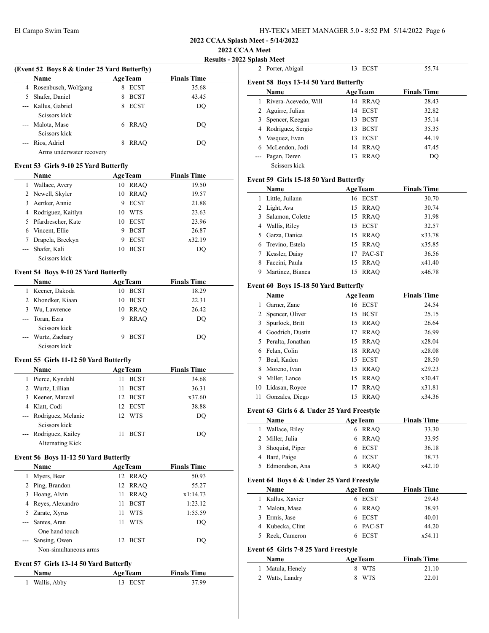**2022 CCAA Meet**

**Results - 2022 S** 

|       | (Event 52 Boys 8 & Under 25 Yard Butterfly) |   |                |                    |  |
|-------|---------------------------------------------|---|----------------|--------------------|--|
|       | Name                                        |   | <b>AgeTeam</b> | <b>Finals Time</b> |  |
| 4     | Rosenbusch, Wolfgang                        | 8 | <b>ECST</b>    | 35.68              |  |
|       | Shafer, Daniel                              | 8 | <b>BCST</b>    | 43.45              |  |
|       | --- Kallus, Gabriel                         | 8 | <b>ECST</b>    | DO                 |  |
|       | Seissors kick                               |   |                |                    |  |
| $---$ | Malota, Mase<br>Seissors kick               | 6 | <b>RRAO</b>    | DO                 |  |
|       | Rios, Adriel                                | 8 | <b>RRAO</b>    | DO                 |  |
|       | Arms underwater recovery                    |   |                |                    |  |

#### **Event 53 Girls 9-10 25 Yard Butterfly**

|   | <b>Name</b>          |    | <b>AgeTeam</b> | <b>Finals Time</b> |
|---|----------------------|----|----------------|--------------------|
|   | Wallace, Avery       | 10 | RRAO           | 19.50              |
|   | 2 Newell, Skyler     | 10 | RRAO           | 19.57              |
|   | 3 Aertker, Annie     | 9  | <b>ECST</b>    | 21.88              |
|   | 4 Rodriguez, Kaitlyn | 10 | <b>WTS</b>     | 23.63              |
|   | 5 Pfardrescher, Kate | 10 | ECST           | 23.96              |
| 6 | Vincent, Ellie       | 9  | <b>BCST</b>    | 26.87              |
|   | Drapela, Breckyn     | 9  | <b>ECST</b>    | x32.19             |
|   | Shafer, Kali         | 10 | <b>BCST</b>    | DO                 |
|   | Seissors kick        |    |                |                    |

## **Event 54 Boys 9-10 25 Yard Butterfly**

|    | <b>Name</b>        |    | <b>AgeTeam</b> | <b>Finals Time</b> |  |
|----|--------------------|----|----------------|--------------------|--|
|    | Keener, Dakoda     | 10 | <b>BCST</b>    | 18.29              |  |
|    | 2 Khondker, Kiaan  | 10 | <b>BCST</b>    | 22.31              |  |
| 3. | Wu, Lawrence       | 10 | RRAO           | 26.42              |  |
|    | --- Toran, Ezra    | 9  | RRAO           | DO                 |  |
|    | Seissors kick      |    |                |                    |  |
|    | --- Wurtz, Zachary |    | <b>BCST</b>    | DO                 |  |
|    | Seissors kick      |    |                |                    |  |

## **Event 55 Girls 11-12 50 Yard Butterfly**

|                     | <b>Name</b>            |                 | <b>AgeTeam</b> | <b>Finals Time</b> |  |
|---------------------|------------------------|-----------------|----------------|--------------------|--|
| 1                   | Pierce, Kyndahl        | 11              | <b>BCST</b>    | 34.68              |  |
|                     | 2 Wurtz, Lillian       | 11              | <b>BCST</b>    | 36.31              |  |
|                     | 3 Keener, Marcail      | 12 <sub>1</sub> | <b>BCST</b>    | x37.60             |  |
|                     | 4 Klatt, Codi          |                 | 12 ECST        | 38.88              |  |
|                     | --- Rodriguez, Melanie |                 | 12 WTS         | DO                 |  |
|                     | Seissors kick          |                 |                |                    |  |
| $\qquad \qquad - -$ | Rodriguez, Kailey      | 11              | <b>BCST</b>    | DO                 |  |
|                     | Alternating Kick       |                 |                |                    |  |

#### **Event 56 Boys 11-12 50 Yard Butterfly**

|   | <b>Name</b>           | <b>AgeTeam</b>    | <b>Finals Time</b> |  |
|---|-----------------------|-------------------|--------------------|--|
| 1 | Myers, Bear           | 12 RRAO           | 50.93              |  |
|   | 2 Ping, Brandon       | RRAO<br>12        | 55.27              |  |
|   | 3 Hoang, Alvin        | <b>RRAO</b><br>11 | x1:14.73           |  |
|   | 4 Reyes, Alexandro    | <b>BCST</b><br>11 | 1:23.12            |  |
|   | 5 Zarate, Xyrus       | <b>WTS</b><br>11  | 1:55.59            |  |
|   | --- Santes, Aran      | <b>WTS</b><br>11  | DO                 |  |
|   | One hand touch        |                   |                    |  |
|   | --- Sansing, Owen     | <b>BCST</b><br>12 | DO                 |  |
|   | Non-simultaneous arms |                   |                    |  |

#### **Event 57 Girls 13-14 50 Yard Butterfly**

| Name         | <b>AgeTeam</b> | <b>Finals Time</b> |  |
|--------------|----------------|--------------------|--|
| Wallis, Abby | 13 ECST        | 37.99              |  |

|   | Splash Meet                                  |     |                |                    |  |
|---|----------------------------------------------|-----|----------------|--------------------|--|
|   | 2 Porter, Abigail                            | 13  | <b>ECST</b>    | 55.74              |  |
|   | <b>Event 58 Boys 13-14 50 Yard Butterfly</b> |     |                |                    |  |
|   | Name                                         |     | <b>AgeTeam</b> | <b>Finals Time</b> |  |
| 1 | Rivera-Acevedo, Will                         | 14  | RRAO           | 28.43              |  |
| 2 | Aguirre, Julian                              |     | 14 ECST        | 32.82              |  |
| 3 | Spencer, Keegan                              | 13  | <b>BCST</b>    | 35.14              |  |
| 4 | Rodriguez, Sergio                            | 13. | <b>BCST</b>    | 35.35              |  |
| 5 | Vasquez, Evan                                | 13  | ECST           | 44.19              |  |
| 6 | McLendon, Jodi                               |     | 14 RRAO        | 47.45              |  |
|   | Pagan, Deren                                 | 13  | <b>RRAO</b>    | DO                 |  |
|   | Seissors kick                                |     |                |                    |  |

### **Event 59 Girls 15-18 50 Yard Butterfly**

|    | Name               |    | <b>AgeTeam</b> | <b>Finals Time</b> |
|----|--------------------|----|----------------|--------------------|
|    | 1 Little, Juilann  |    | 16 ECST        | 30.70              |
|    | 2 Light, Ava       |    | 15 RRAO        | 30.74              |
|    | 3 Salamon, Colette |    | 15 RRAO        | 31.98              |
|    | 4 Wallis, Riley    |    | 15 ECST        | 32.57              |
| 5. | Garza, Danica      |    | 15 RRAO        | x33.78             |
|    | 6 Trevino, Estela  |    | 15 RRAO        | x35.85             |
|    | Kessler, Daisy     | 17 | PAC-ST         | 36.56              |
| 8  | Faccini, Paula     |    | 15 RRAO        | x41.40             |
|    | Martinez, Bianca   | 15 | RRAO           | x46.78             |

### **Event 60 Boys 15-18 50 Yard Butterfly**

|    | Name                |    | <b>AgeTeam</b> | <b>Finals Time</b> |
|----|---------------------|----|----------------|--------------------|
|    | Garner, Zane        |    | 16 ECST        | 24.54              |
|    | 2 Spencer, Oliver   | 15 | <b>BCST</b>    | 25.15              |
|    | Spurlock, Britt     |    | 15 RRAO        | 26.64              |
|    | 4 Goodrich, Dustin  | 17 | <b>RRAO</b>    | 26.99              |
|    | 5 Peralta, Jonathan |    | 15 RRAO        | x28.04             |
| 6  | Felan, Colin        | 18 | RRAO           | x28.08             |
|    | Beal, Kaden         | 15 | <b>ECST</b>    | 28.50              |
| 8  | Moreno, Ivan        |    | 15 RRAO        | x29.23             |
| 9  | Miller, Lance       |    | 15 RRAO        | x30.47             |
| 10 | Lidasan, Royce      | 17 | <b>RRAO</b>    | x31.81             |
| 11 | Gonzales, Diego     | 15 | <b>RRAO</b>    | x34.36             |

#### **Event 63 Girls 6 & Under 25 Yard Freestyle**

| Name              | <b>AgeTeam</b> | <b>Finals Time</b> |
|-------------------|----------------|--------------------|
| 1 Wallace, Riley  | 6 RRAO         | 33.30              |
| 2 Miller, Julia   | 6 RRAO         | 33.95              |
| 3 Shoquist, Piper | 6 ECST         | 36.18              |
| 4 Bard, Paige     | 6 ECST         | 38.73              |
| 5 Edmondson, Ana  | RRAO           | x42.10             |

#### **Event 64 Boys 6 & Under 25 Yard Freestyle**

|    | Name             | <b>AgeTeam</b> | <b>Finals Time</b> |  |
|----|------------------|----------------|--------------------|--|
| I. | Kallus, Xavier   | 6 ECST         | 29.43              |  |
|    | 2 Malota, Mase   | 6 RRAO         | 38.93              |  |
|    | 3 Ermis, Jase    | 6 ECST         | 40.01              |  |
|    | 4 Kubecka, Clint | 6 PAC-ST       | 44.20              |  |
|    | 5 Reck, Cameron  | 6 ECST         | x54.11             |  |
|    |                  |                |                    |  |

## **Event 65 Girls 7-8 25 Yard Freestyle**

| Name             | <b>AgeTeam</b> | <b>Finals Time</b> |
|------------------|----------------|--------------------|
| 1 Matula, Henely | 8 WTS          | 21.10              |
| 2 Watts, Landry  | 8 WTS          | 22.01              |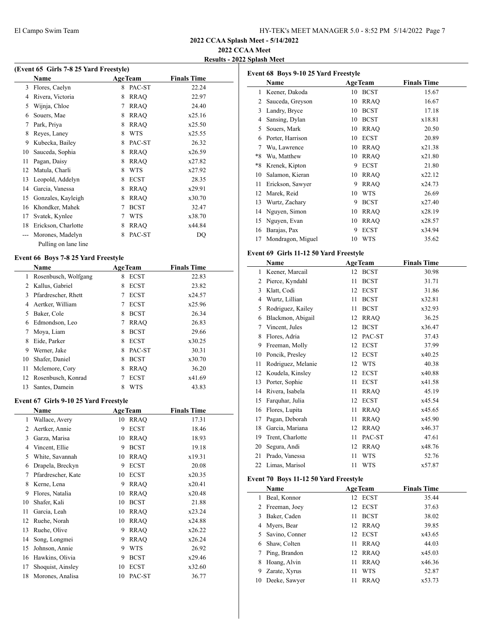**Event 68 Boys 9-10 25 Yard Freestyle**

**2022 CCAA Splash Meet - 5/14/2022**

## **2022 CCAA Meet**

**Results - 2022 Splash Meet**

| (Event 65 Girls 7-8 25 Yard Freestyle) |                      |   |                |                    |  |  |
|----------------------------------------|----------------------|---|----------------|--------------------|--|--|
|                                        | Name                 |   | <b>AgeTeam</b> | <b>Finals Time</b> |  |  |
| 3                                      | Flores, Caelyn       | 8 | PAC-ST         | 22.24              |  |  |
| 4                                      | Rivera, Victoria     | 8 | <b>RRAO</b>    | 22.97              |  |  |
| 5                                      | Wijnja, Chloe        | 7 | <b>RRAQ</b>    | 24.40              |  |  |
| 6                                      | Souers, Mae          | 8 | <b>RRAQ</b>    | x25.16             |  |  |
| 7                                      | Park, Priya          | 8 | <b>RRAO</b>    | x25.50             |  |  |
| 8                                      | Reyes, Laney         | 8 | <b>WTS</b>     | x25.55             |  |  |
| 9                                      | Kubecka, Bailey      | 8 | PAC-ST         | 26.32              |  |  |
| 10                                     | Sauceda, Sophia      | 8 | <b>RRAO</b>    | x26.59             |  |  |
| 11                                     | Pagan, Daisy         | 8 | <b>RRAO</b>    | x27.82             |  |  |
| 12                                     | Matula, Charli       | 8 | <b>WTS</b>     | x27.92             |  |  |
| 13                                     | Leopold, Addelyn     | 8 | <b>ECST</b>    | 28.35              |  |  |
| 14                                     | Garcia, Vanessa      | 8 | <b>RRAO</b>    | x29.91             |  |  |
| 15                                     | Gonzales, Kayleigh   | 8 | <b>RRAO</b>    | x30.70             |  |  |
| 16                                     | Khondker, Mahek      | 7 | <b>BCST</b>    | 32.47              |  |  |
| 17                                     | Svatek, Kynlee       | 7 | <b>WTS</b>     | x38.70             |  |  |
| 18                                     | Erickson, Charlotte  | 8 | <b>RRAO</b>    | x44.84             |  |  |
|                                        | Morones, Madelyn     | 8 | PAC-ST         | DQ                 |  |  |
|                                        | Pulling on lane line |   |                |                    |  |  |

### **Event 66 Boys 7-8 25 Yard Freestyle**

|    | Name                 |   | <b>AgeTeam</b> | <b>Finals Time</b> |  |
|----|----------------------|---|----------------|--------------------|--|
| 1  | Rosenbusch, Wolfgang | 8 | <b>ECST</b>    | 22.83              |  |
| 2  | Kallus, Gabriel      | 8 | <b>ECST</b>    | 23.82              |  |
| 3  | Pfardrescher, Rhett  |   | <b>ECST</b>    | x24.57             |  |
| 4  | Aertker, William     |   | <b>ECST</b>    | x25.96             |  |
| 5  | Baker, Cole          | 8 | <b>BCST</b>    | 26.34              |  |
| 6  | Edmondson, Leo       |   | <b>RRAO</b>    | 26.83              |  |
| 7  | Moya, Liam           | 8 | <b>BCST</b>    | 29.66              |  |
| 8  | Eide, Parker         | 8 | <b>ECST</b>    | x30.25             |  |
| 9  | Werner, Jake         | 8 | PAC-ST         | 30.31              |  |
| 10 | Shafer, Daniel       | 8 | <b>BCST</b>    | x30.70             |  |
| 11 | Mclemore, Cory       | 8 | <b>RRAO</b>    | 36.20              |  |
| 12 | Rosenbusch, Konrad   |   | <b>ECST</b>    | x41.69             |  |
| 13 | Santes, Damein       |   | <b>WTS</b>     | 43.83              |  |

#### **Event 67 Girls 9-10 25 Yard Freestyle**

|    | Name               |    | <b>AgeTeam</b> | <b>Finals Time</b> |  |
|----|--------------------|----|----------------|--------------------|--|
| 1  | Wallace, Avery     | 10 | <b>RRAO</b>    | 17.31              |  |
| 2  | Aertker, Annie     | 9  | <b>ECST</b>    | 18.46              |  |
| 3  | Garza, Marisa      | 10 | <b>RRAO</b>    | 18.93              |  |
| 4  | Vincent, Ellie     | 9  | <b>BCST</b>    | 19.18              |  |
| 5  | White, Savannah    | 10 | <b>RRAO</b>    | x19.31             |  |
| 6  | Drapela, Breckyn   | 9  | <b>ECST</b>    | 20.08              |  |
| 7  | Pfardrescher, Kate | 10 | <b>ECST</b>    | x20.35             |  |
| 8  | Kerne, Lena        | 9  | <b>RRAO</b>    | x20.41             |  |
| 9  | Flores, Natalia    | 10 | <b>RRAO</b>    | x20.48             |  |
| 10 | Shafer, Kali       | 10 | <b>BCST</b>    | 21.88              |  |
| 11 | Garcia, Leah       | 10 | <b>RRAO</b>    | x23.24             |  |
| 12 | Ruehe, Norah       | 10 | <b>RRAQ</b>    | x24.88             |  |
| 13 | Ruehe, Olive       | 9  | <b>RRAO</b>    | x26.22             |  |
| 14 | Song, Longmei      | 9  | <b>RRAO</b>    | x26.24             |  |
| 15 | Johnson, Annie     | 9  | <b>WTS</b>     | 26.92              |  |
| 16 | Hawkins, Olivia    | 9  | <b>BCST</b>    | x29.46             |  |
| 17 | Shoquist, Ainsley  | 10 | <b>ECST</b>    | x32.60             |  |
| 18 | Morones, Analisa   | 10 | PAC-ST         | 36.77              |  |

|                                        | Name                                   |    | <b>AgeTeam</b>                | <b>Finals Time</b>          |  |
|----------------------------------------|----------------------------------------|----|-------------------------------|-----------------------------|--|
| 1                                      | Keener, Dakoda                         | 10 | <b>BCST</b>                   | 15.67                       |  |
| 2                                      | Sauceda, Greyson                       | 10 | <b>RRAQ</b>                   | 16.67                       |  |
|                                        | 3 Landry, Bryce                        | 10 | <b>BCST</b>                   | 17.18                       |  |
|                                        | 4 Sansing, Dylan                       |    | 10 BCST                       | x18.81                      |  |
|                                        | 5 Souers, Mark                         |    | 10 RRAQ                       | 20.50                       |  |
|                                        | 6 Porter, Harrison                     |    | 10 ECST                       | 20.89                       |  |
| $\tau$                                 | Wu, Lawrence                           |    | 10 RRAQ                       | x21.38                      |  |
| $*8$                                   | Wu, Matthew                            |    | 10 RRAQ                       | x21.80                      |  |
| $*8$                                   | Krenek, Kipton                         | 9  | <b>ECST</b>                   | 21.80                       |  |
| 10                                     | Salamon, Kieran                        |    | 10 RRAQ                       | x22.12                      |  |
| 11                                     | Erickson, Sawyer                       | 9  | <b>RRAQ</b>                   | x24.73                      |  |
| 12                                     | Marek, Reid                            | 10 | <b>WTS</b>                    | 26.69                       |  |
|                                        | 13 Wurtz, Zachary                      | 9  | <b>BCST</b>                   | x27.40                      |  |
|                                        | 14 Nguyen, Simon                       | 10 | <b>RRAQ</b>                   | x28.19                      |  |
|                                        | 15 Nguyen, Evan                        | 10 | <b>RRAQ</b>                   | x28.57                      |  |
| 16                                     | Barajas, Pax                           | 9  | <b>ECST</b>                   | x34.94                      |  |
| 17                                     | Mondragon, Miguel                      | 10 | <b>WTS</b>                    | 35.62                       |  |
| Event 69 Girls 11-12 50 Yard Freestyle |                                        |    |                               |                             |  |
|                                        |                                        |    |                               |                             |  |
|                                        | Name                                   |    |                               |                             |  |
|                                        |                                        | 12 | <b>AgeTeam</b><br><b>BCST</b> | <b>Finals Time</b><br>30.98 |  |
|                                        | 1 Keener, Marcail<br>2 Pierce, Kyndahl | 11 | <b>BCST</b>                   | 31.71                       |  |
|                                        |                                        | 12 |                               | 31.86                       |  |
|                                        | 3 Klatt, Codi<br>4 Wurtz, Lillian      | 11 | <b>ECST</b><br><b>BCST</b>    | x32.81                      |  |
|                                        | 5 Rodriguez, Kailey                    | 11 | <b>BCST</b>                   | x32.93                      |  |
|                                        | 6 Blackmon, Abigail                    | 12 | <b>RRAQ</b>                   | 36.25                       |  |
|                                        |                                        | 12 | <b>BCST</b>                   | x36.47                      |  |
| 8                                      | 7 Vincent, Jules<br>Flores, Adria      | 12 | PAC-ST                        | 37.43                       |  |
| 9                                      | Freeman, Molly                         | 12 | <b>ECST</b>                   | 37.99                       |  |
|                                        | 10 Poncik, Presley                     | 12 | <b>ECST</b>                   | x40.25                      |  |
| 11                                     | Rodriguez, Melanie                     | 12 | <b>WTS</b>                    | 40.38                       |  |
| 12                                     | Koudela, Kinsley                       | 12 | <b>ECST</b>                   | x40.88                      |  |
| 13                                     | Porter, Sophie                         | 11 | <b>ECST</b>                   | x41.58                      |  |
|                                        | 14 Rivera, Isabela                     | 11 | <b>RRAQ</b>                   | 45.19                       |  |
|                                        | 15 Farquhar, Julia                     | 12 | <b>ECST</b>                   | x45.54                      |  |
|                                        | 16 Flores, Lupita                      | 11 | <b>RRAO</b>                   | x45.65                      |  |
| 17                                     | Pagan, Deborah                         | 11 | <b>RRAQ</b>                   | x45.90                      |  |

## **Event 70 Boys 11-12 50 Yard Freestyle**

|    | Name            | <b>AgeTeam</b>    | <b>Finals Time</b> |
|----|-----------------|-------------------|--------------------|
|    | Beal, Konnor    | 12 ECST           | 35.44              |
|    | 2 Freeman, Joey | 12 ECST           | 37.63              |
| 3  | Baker, Caden    | <b>BCST</b><br>11 | 38.02              |
| 4  | Myers, Bear     | 12 RRAO           | 39.85              |
| 5  | Savino, Conner  | 12 ECST           | x43.65             |
| 6  | Shaw, Colten    | <b>RRAO</b><br>11 | 44.03              |
| 7  | Ping, Brandon   | 12 RRAO           | x45.03             |
| 8  | Hoang, Alvin    | <b>RRAO</b><br>11 | x46.36             |
| 9  | Zarate, Xyrus   | <b>WTS</b><br>11  | 52.87              |
| 10 | Deeke, Sawyer   | <b>RRAO</b><br>11 | x53.73             |

19 Trent, Charlotte 11 PAC-ST 47.61 Segura, Andi 12 RRAQ x48.76 Prado, Vanessa 11 WTS 52.76 22 Limas, Marisol 11 WTS x57.87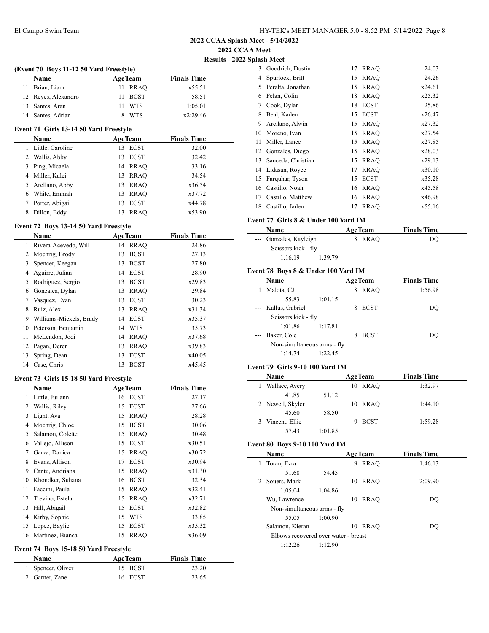**2022 CCAA Meet**

| <b>Results - 2022 Splash Meet</b> |  |  |
|-----------------------------------|--|--|
|                                   |  |  |

| (Event 70 Boys 11-12 50 Yard Freestyle) |                                        |                   |                    |  |  |  |
|-----------------------------------------|----------------------------------------|-------------------|--------------------|--|--|--|
|                                         | <b>Name</b>                            | <b>AgeTeam</b>    | <b>Finals Time</b> |  |  |  |
| 11                                      | Brian, Liam                            | 11 RRAQ           | x55.51             |  |  |  |
| 12                                      | Reyes, Alexandro                       | <b>BCST</b><br>11 | 58.51              |  |  |  |
| 13                                      | Santes, Aran                           | <b>WTS</b><br>11  | 1:05.01            |  |  |  |
| 14                                      | Santes, Adrian                         | <b>WTS</b><br>8   | x2:29.46           |  |  |  |
|                                         | Event 71 Girls 13-14 50 Yard Freestyle |                   |                    |  |  |  |
|                                         | Name                                   | <b>AgeTeam</b>    | <b>Finals Time</b> |  |  |  |
| 1                                       | Little, Caroline                       | <b>ECST</b><br>13 | 32.00              |  |  |  |
| 2                                       | Wallis, Abby                           | <b>ECST</b><br>13 | 32.42              |  |  |  |
| 3                                       | Ping, Micaela                          | <b>RRAO</b><br>14 | 33.16              |  |  |  |
| 4                                       | Miller, Kalei                          | <b>RRAO</b><br>13 | 34.54              |  |  |  |
| 5                                       | Arellano, Abby                         | <b>RRAO</b><br>13 | x36.54             |  |  |  |
| 6                                       | White, Emmah                           | <b>RRAO</b><br>13 | x37.72             |  |  |  |
| 7                                       | Porter, Abigail                        | <b>ECST</b><br>13 | x44.78             |  |  |  |
| 8                                       | Dillon, Eddy                           | <b>RRAO</b><br>13 | x53.90             |  |  |  |
|                                         | Event 72 Boys 13-14 50 Yard Freestyle  |                   |                    |  |  |  |
|                                         | Name                                   | <b>AgeTeam</b>    | <b>Finals Time</b> |  |  |  |
|                                         |                                        |                   |                    |  |  |  |

|    | <b>Name</b>             | <b>AgeTeam</b> |             | <b>Finals Time</b> |  |
|----|-------------------------|----------------|-------------|--------------------|--|
| 1  | Rivera-Acevedo, Will    | 14 RRAO        |             | 24.86              |  |
| 2  | Moehrig, Brody          | 13             | <b>BCST</b> | 27.13              |  |
| 3  | Spencer, Keegan         | 13             | <b>BCST</b> | 27.80              |  |
| 4  | Aguirre, Julian         | 14             | <b>ECST</b> | 28.90              |  |
| 5  | Rodriguez, Sergio       | 13             | <b>BCST</b> | x29.83             |  |
| 6  | Gonzales, Dylan         | 13             | <b>RRAO</b> | 29.84              |  |
|    | Vasquez, Evan           | 13             | <b>ECST</b> | 30.23              |  |
| 8  | Ruiz, Alex              | 13             | <b>RRAO</b> | x31.34             |  |
| 9  | Williams-Mickels, Brady | 14             | <b>ECST</b> | x35.37             |  |
| 10 | Peterson, Benjamin      | 14             | <b>WTS</b>  | 35.73              |  |
| 11 | McLendon, Jodi          | 14             | <b>RRAO</b> | x37.68             |  |
| 12 | Pagan, Deren            | 13             | <b>RRAO</b> | x39.83             |  |
| 13 | Spring, Dean            | 13             | <b>ECST</b> | x40.05             |  |
| 14 | Case, Chris             | 13             | <b>BCST</b> | x45.45             |  |

### **Event 73 Girls 15-18 50 Yard Freestyle**

 $\overline{a}$ 

|    | Name             |    | <b>AgeTeam</b> | <b>Finals Time</b> |  |  |
|----|------------------|----|----------------|--------------------|--|--|
| 1  | Little, Juilann  |    | 16 ECST        | 27.17              |  |  |
| 2  | Wallis, Riley    | 15 | <b>ECST</b>    | 27.66              |  |  |
| 3  | Light, Ava       | 15 | <b>RRAQ</b>    | 28.28              |  |  |
| 4  | Moehrig, Chloe   | 15 | <b>BCST</b>    | 30.06              |  |  |
| 5  | Salamon, Colette | 15 | <b>RRAO</b>    | 30.48              |  |  |
| 6  | Vallejo, Allison | 15 | <b>ECST</b>    | x30.51             |  |  |
| 7  | Garza, Danica    | 15 | <b>RRAO</b>    | x30.72             |  |  |
| 8  | Evans, Allison   | 17 | <b>ECST</b>    | x30.94             |  |  |
| 9  | Cantu, Andriana  | 15 | <b>RRAO</b>    | x31.30             |  |  |
| 10 | Khondker, Suhana | 16 | <b>BCST</b>    | 32.34              |  |  |
| 11 | Faccini, Paula   | 15 | <b>RRAO</b>    | x32.41             |  |  |
| 12 | Trevino, Estela  | 15 | <b>RRAO</b>    | x32.71             |  |  |
| 13 | Hill, Abigail    | 15 | <b>ECST</b>    | x32.82             |  |  |
| 14 | Kirby, Sophie    | 15 | <b>WTS</b>     | 33.85              |  |  |
| 15 | Lopez, Baylie    | 15 | <b>ECST</b>    | x35.32             |  |  |
| 16 | Martinez, Bianca | 15 | <b>RRAO</b>    | x36.09             |  |  |

## **Event 74 Boys 15-18 50 Yard Freestyle**

| Name              | <b>AgeTeam</b> | <b>Finals Time</b> |
|-------------------|----------------|--------------------|
| 1 Spencer, Oliver | 15 BCST        | 23.20              |
| 2 Garner, Zane    | 16 ECST        | 23.65              |

|    | лраван тассе       |    |             |        |
|----|--------------------|----|-------------|--------|
| 3  | Goodrich, Dustin   | 17 | <b>RRAO</b> | 24.03  |
| 4  | Spurlock, Britt    | 15 | <b>RRAO</b> | 24.26  |
| 5  | Peralta, Jonathan  | 15 | <b>RRAO</b> | x24.61 |
| 6  | Felan, Colin       | 18 | <b>RRAO</b> | x25.32 |
| 7  | Cook, Dylan        | 18 | <b>ECST</b> | 25.86  |
| 8  | Beal, Kaden        | 15 | <b>ECST</b> | x26.47 |
| 9  | Arellano, Alwin    | 15 | <b>RRAO</b> | x27.32 |
| 10 | Moreno, Ivan       | 15 | <b>RRAQ</b> | x27.54 |
| 11 | Miller, Lance      | 15 | <b>RRAO</b> | x27.85 |
| 12 | Gonzales, Diego    | 15 | <b>RRAO</b> | x28.03 |
| 13 | Sauceda, Christian | 15 | <b>RRAO</b> | x29.13 |
|    | 14 Lidasan, Royce  | 17 | <b>RRAO</b> | x30.10 |
| 15 | Farquhar, Tyson    | 15 | <b>ECST</b> | x35.28 |
| 16 | Castillo, Noah     | 16 | <b>RRAO</b> | x45.58 |
| 17 | Castillo, Matthew  | 16 | <b>RRAO</b> | x46.98 |
| 18 | Castillo, Jaden    | 17 | <b>RRAO</b> | x55.16 |
|    |                    |    |             |        |

# **Event 77 Girls 8 & Under 100 Yard IM**

| <b>Name</b>            |         | <b>AgeTeam</b> | <b>Finals Time</b> |  |
|------------------------|---------|----------------|--------------------|--|
| --- Gonzales, Kayleigh |         | 8 RRAO         | DO                 |  |
| Scissors kick - fly    |         |                |                    |  |
| 1:16.19                | 1:39.79 |                |                    |  |

## **Event 78 Boys 8 & Under 100 Yard IM**

|                       | Name                        |         | <b>AgeTeam</b> |             | <b>Finals Time</b> |  |
|-----------------------|-----------------------------|---------|----------------|-------------|--------------------|--|
| 1                     | Malota, CJ                  |         | 8              | <b>RRAO</b> | 1:56.98            |  |
|                       | 55.83                       | 1:01.15 |                |             |                    |  |
|                       | --- Kallus, Gabriel         |         | 8              | <b>ECST</b> | DO                 |  |
|                       | Scissors kick - fly         |         |                |             |                    |  |
|                       | 1:01.86                     | 1:17.81 |                |             |                    |  |
| $\qquad \qquad - - -$ | Baker, Cole                 |         |                | <b>BCST</b> | DO                 |  |
|                       | Non-simultaneous arms - fly |         |                |             |                    |  |
|                       | 1:14.74                     | 1:22.45 |                |             |                    |  |

#### **Event 79 Girls 9-10 100 Yard IM**

 $\overline{\phantom{0}}$ 

| <b>Name</b>      |         |    | <b>AgeTeam</b> | <b>Finals Time</b> |
|------------------|---------|----|----------------|--------------------|
| Wallace, Avery   |         | 10 | RRAO           | 1:32.97            |
| 41.85            | 51.12   |    |                |                    |
| 2 Newell, Skyler |         | 10 | RRAO           | 1:44.10            |
| 45.60            | 58.50   |    |                |                    |
| Vincent, Ellie   |         |    | <b>BCST</b>    | 1:59.28            |
| 57.43            | 1:01.85 |    |                |                    |

# **Event 80 Boys 9-10 100 Yard IM**

|    | Name                                 |         |    | <b>AgeTeam</b> | <b>Finals Time</b> |  |
|----|--------------------------------------|---------|----|----------------|--------------------|--|
| 1. | Toran, Ezra                          |         | 9  | <b>RRAO</b>    | 1:46.13            |  |
|    | 51.68                                | 54.45   |    |                |                    |  |
|    | 2 Souers, Mark                       |         | 10 | RRAO           | 2:09.90            |  |
|    | 1:05.04                              | 1:04.86 |    |                |                    |  |
|    | Wu, Lawrence                         |         | 10 | RRAO           | DO                 |  |
|    | Non-simultaneous arms - fly          |         |    |                |                    |  |
|    | 55.05                                | 1:00.90 |    |                |                    |  |
|    | Salamon, Kieran                      |         | 10 | RRAO           | DO                 |  |
|    | Elbows recovered over water - breast |         |    |                |                    |  |
|    | 1:12.26                              | 1:12.90 |    |                |                    |  |